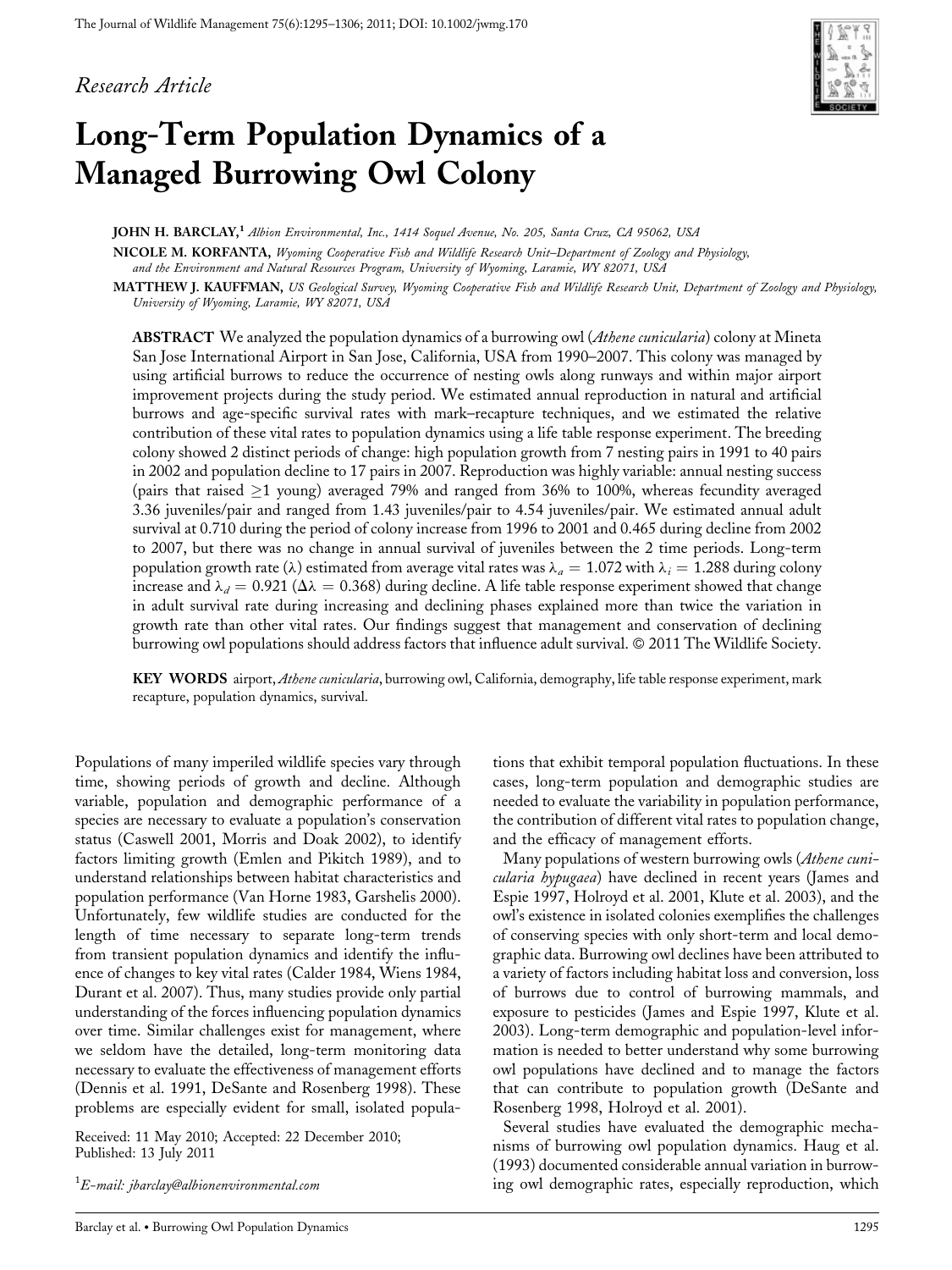## Research Article



# Long-Term Population Dynamics of a Managed Burrowing Owl Colony

JOHN H. BARCLAY,<sup>1</sup> Albion Environmental, Inc., 1414 Soquel Avenue, No. 205, Santa Cruz, CA 95062, USA NICOLE M. KORFANTA, Wyoming Cooperative Fish and Wildlife Research Unit–Department of Zoology and Physiology, and the Environment and Natural Resources Program, University of Wyoming, Laramie, WY 82071, USA

MATTHEW J. KAUFFMAN, US Geological Survey, Wyoming Cooperative Fish and Wildlife Research Unit, Department of Zoology and Physiology, University of Wyoming, Laramie, WY 82071, USA

**ABSTRACT** We analyzed the population dynamics of a burrowing owl (*Athene cunicularia*) colony at Mineta San Jose International Airport in San Jose, California, USA from 1990–2007. This colony was managed by using artificial burrows to reduce the occurrence of nesting owls along runways and within major airport improvement projects during the study period. We estimated annual reproduction in natural and artificial burrows and age-specific survival rates with mark–recapture techniques, and we estimated the relative contribution of these vital rates to population dynamics using a life table response experiment. The breeding colony showed 2 distinct periods of change: high population growth from 7 nesting pairs in 1991 to 40 pairs in 2002 and population decline to 17 pairs in 2007. Reproduction was highly variable: annual nesting success (pairs that raised  $\geq$ 1 young) averaged 79% and ranged from 36% to 100%, whereas fecundity averaged 3.36 juveniles/pair and ranged from 1.43 juveniles/pair to 4.54 juveniles/pair. We estimated annual adult survival at 0.710 during the period of colony increase from 1996 to 2001 and 0.465 during decline from 2002 to 2007, but there was no change in annual survival of juveniles between the 2 time periods. Long-term population growth rate ( $\lambda$ ) estimated from average vital rates was  $\lambda_a = 1.072$  with  $\lambda_i = 1.288$  during colony increase and  $\lambda_d = 0.921$  ( $\Delta \lambda = 0.368$ ) during decline. A life table response experiment showed that change in adult survival rate during increasing and declining phases explained more than twice the variation in growth rate than other vital rates. Our findings suggest that management and conservation of declining burrowing owl populations should address factors that influence adult survival.  $\oslash$  2011 The Wildlife Society.

KEY WORDS airport, Athene cunicularia, burrowing owl, California, demography, life table response experiment, mark recapture, population dynamics, survival.

Populations of many imperiled wildlife species vary through time, showing periods of growth and decline. Although variable, population and demographic performance of a species are necessary to evaluate a population's conservation status (Caswell 2001, Morris and Doak 2002), to identify factors limiting growth (Emlen and Pikitch 1989), and to understand relationships between habitat characteristics and population performance (Van Horne 1983, Garshelis 2000). Unfortunately, few wildlife studies are conducted for the length of time necessary to separate long-term trends from transient population dynamics and identify the influence of changes to key vital rates (Calder 1984, Wiens 1984, Durant et al. 2007). Thus, many studies provide only partial understanding of the forces influencing population dynamics over time. Similar challenges exist for management, where we seldom have the detailed, long-term monitoring data necessary to evaluate the effectiveness of management efforts (Dennis et al. 1991, DeSante and Rosenberg 1998). These problems are especially evident for small, isolated popula-

Received: 11 May 2010; Accepted: 22 December 2010; Published: 13 July 2011

 $^1\!E$ -mail: jbarclay@albionenvironmental.com

tions that exhibit temporal population fluctuations. In these cases, long-term population and demographic studies are needed to evaluate the variability in population performance, the contribution of different vital rates to population change, and the efficacy of management efforts.

Many populations of western burrowing owls (Athene cunicularia hypugaea) have declined in recent years (James and Espie 1997, Holroyd et al. 2001, Klute et al. 2003), and the owl's existence in isolated colonies exemplifies the challenges of conserving species with only short-term and local demographic data. Burrowing owl declines have been attributed to a variety of factors including habitat loss and conversion, loss of burrows due to control of burrowing mammals, and exposure to pesticides (James and Espie 1997, Klute et al. 2003). Long-term demographic and population-level information is needed to better understand why some burrowing owl populations have declined and to manage the factors that can contribute to population growth (DeSante and Rosenberg 1998, Holroyd et al. 2001).

Several studies have evaluated the demographic mechanisms of burrowing owl population dynamics. Haug et al. (1993) documented considerable annual variation in burrowing owl demographic rates, especially reproduction, which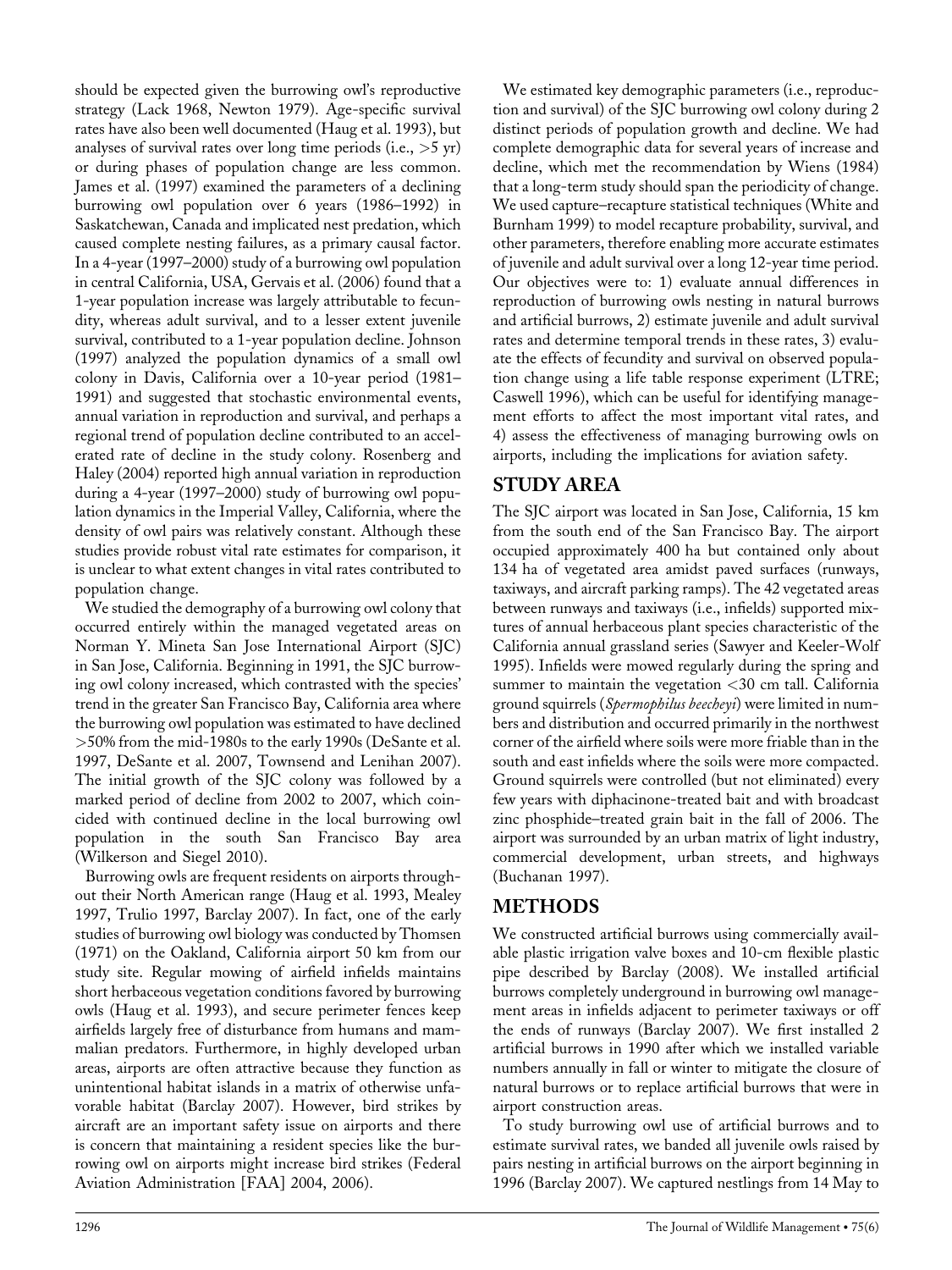should be expected given the burrowing owl's reproductive strategy (Lack 1968, Newton 1979). Age-specific survival rates have also been well documented (Haug et al. 1993), but analyses of survival rates over long time periods (i.e.,  $>5$  yr) or during phases of population change are less common. James et al. (1997) examined the parameters of a declining burrowing owl population over 6 years (1986–1992) in Saskatchewan, Canada and implicated nest predation, which caused complete nesting failures, as a primary causal factor. In a 4-year (1997–2000) study of a burrowing owl population in central California, USA, Gervais et al. (2006) found that a 1-year population increase was largely attributable to fecundity, whereas adult survival, and to a lesser extent juvenile survival, contributed to a 1-year population decline. Johnson (1997) analyzed the population dynamics of a small owl colony in Davis, California over a 10-year period (1981– 1991) and suggested that stochastic environmental events, annual variation in reproduction and survival, and perhaps a regional trend of population decline contributed to an accelerated rate of decline in the study colony. Rosenberg and Haley (2004) reported high annual variation in reproduction during a 4-year (1997–2000) study of burrowing owl population dynamics in the Imperial Valley, California, where the density of owl pairs was relatively constant. Although these studies provide robust vital rate estimates for comparison, it is unclear to what extent changes in vital rates contributed to population change.

We studied the demography of a burrowing owl colony that occurred entirely within the managed vegetated areas on Norman Y. Mineta San Jose International Airport (SJC) in San Jose, California. Beginning in 1991, the SJC burrowing owl colony increased, which contrasted with the species' trend in the greater San Francisco Bay, California area where the burrowing owl population was estimated to have declined >50% from the mid-1980s to the early 1990s (DeSante et al. 1997, DeSante et al. 2007, Townsend and Lenihan 2007). The initial growth of the SJC colony was followed by a marked period of decline from 2002 to 2007, which coincided with continued decline in the local burrowing owl population in the south San Francisco Bay area (Wilkerson and Siegel 2010).

Burrowing owls are frequent residents on airports throughout their North American range (Haug et al. 1993, Mealey 1997, Trulio 1997, Barclay 2007). In fact, one of the early studies of burrowing owl biology was conducted by Thomsen (1971) on the Oakland, California airport 50 km from our study site. Regular mowing of airfield infields maintains short herbaceous vegetation conditions favored by burrowing owls (Haug et al. 1993), and secure perimeter fences keep airfields largely free of disturbance from humans and mammalian predators. Furthermore, in highly developed urban areas, airports are often attractive because they function as unintentional habitat islands in a matrix of otherwise unfavorable habitat (Barclay 2007). However, bird strikes by aircraft are an important safety issue on airports and there is concern that maintaining a resident species like the burrowing owl on airports might increase bird strikes (Federal Aviation Administration [FAA] 2004, 2006).

We estimated key demographic parameters (i.e., reproduction and survival) of the SJC burrowing owl colony during 2 distinct periods of population growth and decline. We had complete demographic data for several years of increase and decline, which met the recommendation by Wiens (1984) that a long-term study should span the periodicity of change. We used capture–recapture statistical techniques (White and Burnham 1999) to model recapture probability, survival, and other parameters, therefore enabling more accurate estimates of juvenile and adult survival over a long 12-year time period. Our objectives were to: 1) evaluate annual differences in reproduction of burrowing owls nesting in natural burrows and artificial burrows, 2) estimate juvenile and adult survival rates and determine temporal trends in these rates, 3) evaluate the effects of fecundity and survival on observed population change using a life table response experiment (LTRE; Caswell 1996), which can be useful for identifying management efforts to affect the most important vital rates, and 4) assess the effectiveness of managing burrowing owls on airports, including the implications for aviation safety.

## STUDY AREA

The SJC airport was located in San Jose, California, 15 km from the south end of the San Francisco Bay. The airport occupied approximately 400 ha but contained only about 134 ha of vegetated area amidst paved surfaces (runways, taxiways, and aircraft parking ramps). The 42 vegetated areas between runways and taxiways (i.e., infields) supported mixtures of annual herbaceous plant species characteristic of the California annual grassland series (Sawyer and Keeler-Wolf 1995). Infields were mowed regularly during the spring and summer to maintain the vegetation  $<$  30 cm tall. California ground squirrels (Spermophilus beecheyi) were limited in numbers and distribution and occurred primarily in the northwest corner of the airfield where soils were more friable than in the south and east infields where the soils were more compacted. Ground squirrels were controlled (but not eliminated) every few years with diphacinone-treated bait and with broadcast zinc phosphide–treated grain bait in the fall of 2006. The airport was surrounded by an urban matrix of light industry, commercial development, urban streets, and highways (Buchanan 1997).

# METHODS

We constructed artificial burrows using commercially available plastic irrigation valve boxes and 10-cm flexible plastic pipe described by Barclay (2008). We installed artificial burrows completely underground in burrowing owl management areas in infields adjacent to perimeter taxiways or off the ends of runways (Barclay 2007). We first installed 2 artificial burrows in 1990 after which we installed variable numbers annually in fall or winter to mitigate the closure of natural burrows or to replace artificial burrows that were in airport construction areas.

To study burrowing owl use of artificial burrows and to estimate survival rates, we banded all juvenile owls raised by pairs nesting in artificial burrows on the airport beginning in 1996 (Barclay 2007). We captured nestlings from 14 May to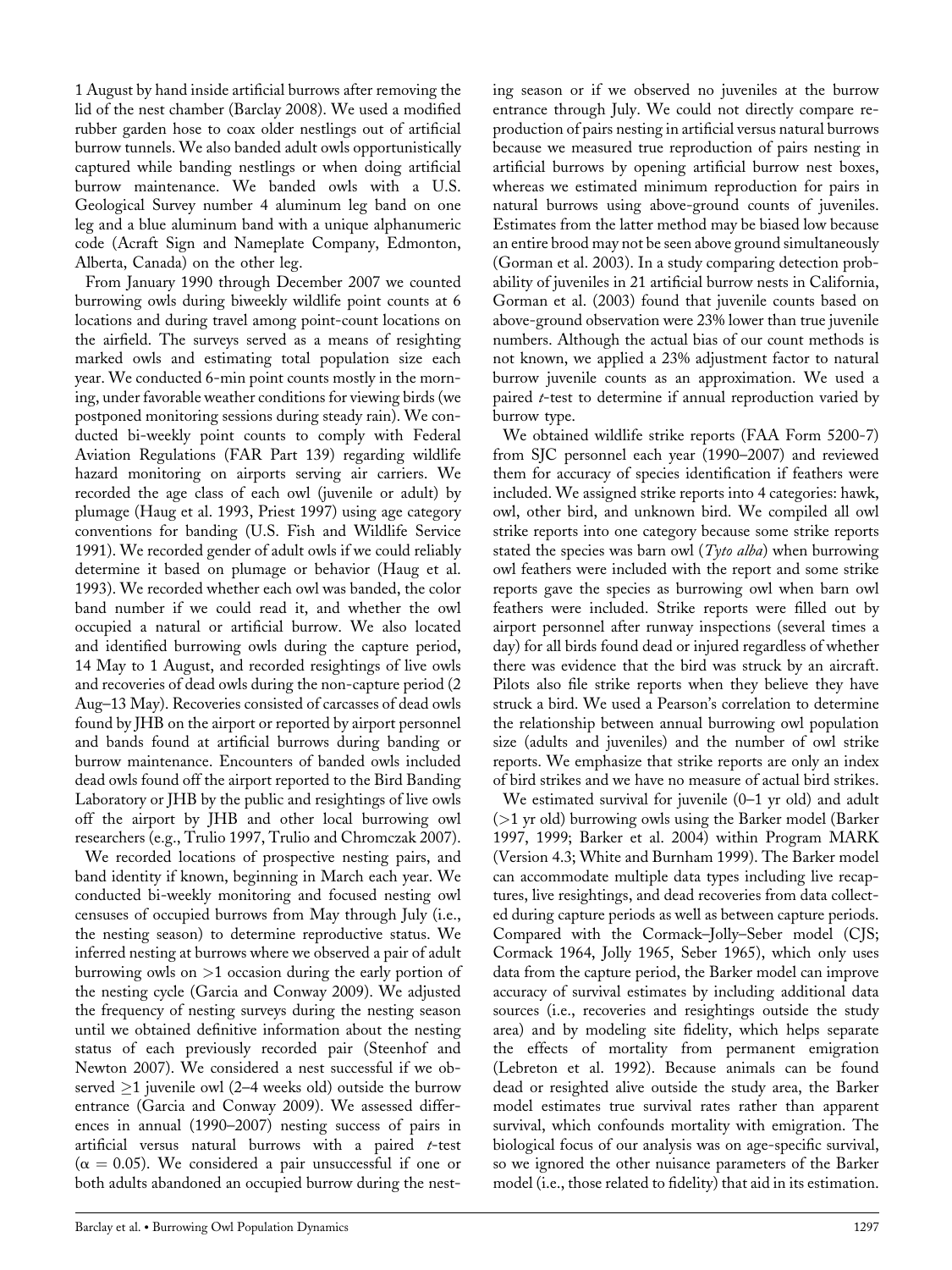1 August by hand inside artificial burrows after removing the lid of the nest chamber (Barclay 2008). We used a modified rubber garden hose to coax older nestlings out of artificial burrow tunnels. We also banded adult owls opportunistically captured while banding nestlings or when doing artificial burrow maintenance. We banded owls with a U.S. Geological Survey number 4 aluminum leg band on one leg and a blue aluminum band with a unique alphanumeric code (Acraft Sign and Nameplate Company, Edmonton, Alberta, Canada) on the other leg.

From January 1990 through December 2007 we counted burrowing owls during biweekly wildlife point counts at 6 locations and during travel among point-count locations on the airfield. The surveys served as a means of resighting marked owls and estimating total population size each year. We conducted 6-min point counts mostly in the morning, under favorable weather conditions for viewing birds (we postponed monitoring sessions during steady rain). We conducted bi-weekly point counts to comply with Federal Aviation Regulations (FAR Part 139) regarding wildlife hazard monitoring on airports serving air carriers. We recorded the age class of each owl (juvenile or adult) by plumage (Haug et al. 1993, Priest 1997) using age category conventions for banding (U.S. Fish and Wildlife Service 1991). We recorded gender of adult owls if we could reliably determine it based on plumage or behavior (Haug et al. 1993). We recorded whether each owl was banded, the color band number if we could read it, and whether the owl occupied a natural or artificial burrow. We also located and identified burrowing owls during the capture period, 14 May to 1 August, and recorded resightings of live owls and recoveries of dead owls during the non-capture period (2 Aug–13 May). Recoveries consisted of carcasses of dead owls found by JHB on the airport or reported by airport personnel and bands found at artificial burrows during banding or burrow maintenance. Encounters of banded owls included dead owls found off the airport reported to the Bird Banding Laboratory or JHB by the public and resightings of live owls off the airport by JHB and other local burrowing owl researchers (e.g., Trulio 1997, Trulio and Chromczak 2007).

We recorded locations of prospective nesting pairs, and band identity if known, beginning in March each year. We conducted bi-weekly monitoring and focused nesting owl censuses of occupied burrows from May through July (i.e., the nesting season) to determine reproductive status. We inferred nesting at burrows where we observed a pair of adult burrowing owls on >1 occasion during the early portion of the nesting cycle (Garcia and Conway 2009). We adjusted the frequency of nesting surveys during the nesting season until we obtained definitive information about the nesting status of each previously recorded pair (Steenhof and Newton 2007). We considered a nest successful if we observed  $\geq$ 1 juvenile owl (2–4 weeks old) outside the burrow entrance (Garcia and Conway 2009). We assessed differences in annual (1990–2007) nesting success of pairs in artificial versus natural burrows with a paired  $t$ -test  $(\alpha = 0.05)$ . We considered a pair unsuccessful if one or both adults abandoned an occupied burrow during the nesting season or if we observed no juveniles at the burrow entrance through July. We could not directly compare reproduction of pairs nesting in artificial versus natural burrows because we measured true reproduction of pairs nesting in artificial burrows by opening artificial burrow nest boxes, whereas we estimated minimum reproduction for pairs in natural burrows using above-ground counts of juveniles. Estimates from the latter method may be biased low because an entire brood may not be seen above ground simultaneously (Gorman et al. 2003). In a study comparing detection probability of juveniles in 21 artificial burrow nests in California, Gorman et al. (2003) found that juvenile counts based on above-ground observation were 23% lower than true juvenile numbers. Although the actual bias of our count methods is not known, we applied a 23% adjustment factor to natural burrow juvenile counts as an approximation. We used a paired *t*-test to determine if annual reproduction varied by burrow type.

We obtained wildlife strike reports (FAA Form 5200-7) from SJC personnel each year (1990–2007) and reviewed them for accuracy of species identification if feathers were included. We assigned strike reports into 4 categories: hawk, owl, other bird, and unknown bird. We compiled all owl strike reports into one category because some strike reports stated the species was barn owl ( $Ty$ to alba) when burrowing owl feathers were included with the report and some strike reports gave the species as burrowing owl when barn owl feathers were included. Strike reports were filled out by airport personnel after runway inspections (several times a day) for all birds found dead or injured regardless of whether there was evidence that the bird was struck by an aircraft. Pilots also file strike reports when they believe they have struck a bird. We used a Pearson's correlation to determine the relationship between annual burrowing owl population size (adults and juveniles) and the number of owl strike reports. We emphasize that strike reports are only an index of bird strikes and we have no measure of actual bird strikes.

We estimated survival for juvenile (0–1 yr old) and adult (>1 yr old) burrowing owls using the Barker model (Barker 1997, 1999; Barker et al. 2004) within Program MARK (Version 4.3; White and Burnham 1999). The Barker model can accommodate multiple data types including live recaptures, live resightings, and dead recoveries from data collected during capture periods as well as between capture periods. Compared with the Cormack–Jolly–Seber model (CJS; Cormack 1964, Jolly 1965, Seber 1965), which only uses data from the capture period, the Barker model can improve accuracy of survival estimates by including additional data sources (i.e., recoveries and resightings outside the study area) and by modeling site fidelity, which helps separate the effects of mortality from permanent emigration (Lebreton et al. 1992). Because animals can be found dead or resighted alive outside the study area, the Barker model estimates true survival rates rather than apparent survival, which confounds mortality with emigration. The biological focus of our analysis was on age-specific survival, so we ignored the other nuisance parameters of the Barker model (i.e., those related to fidelity) that aid in its estimation.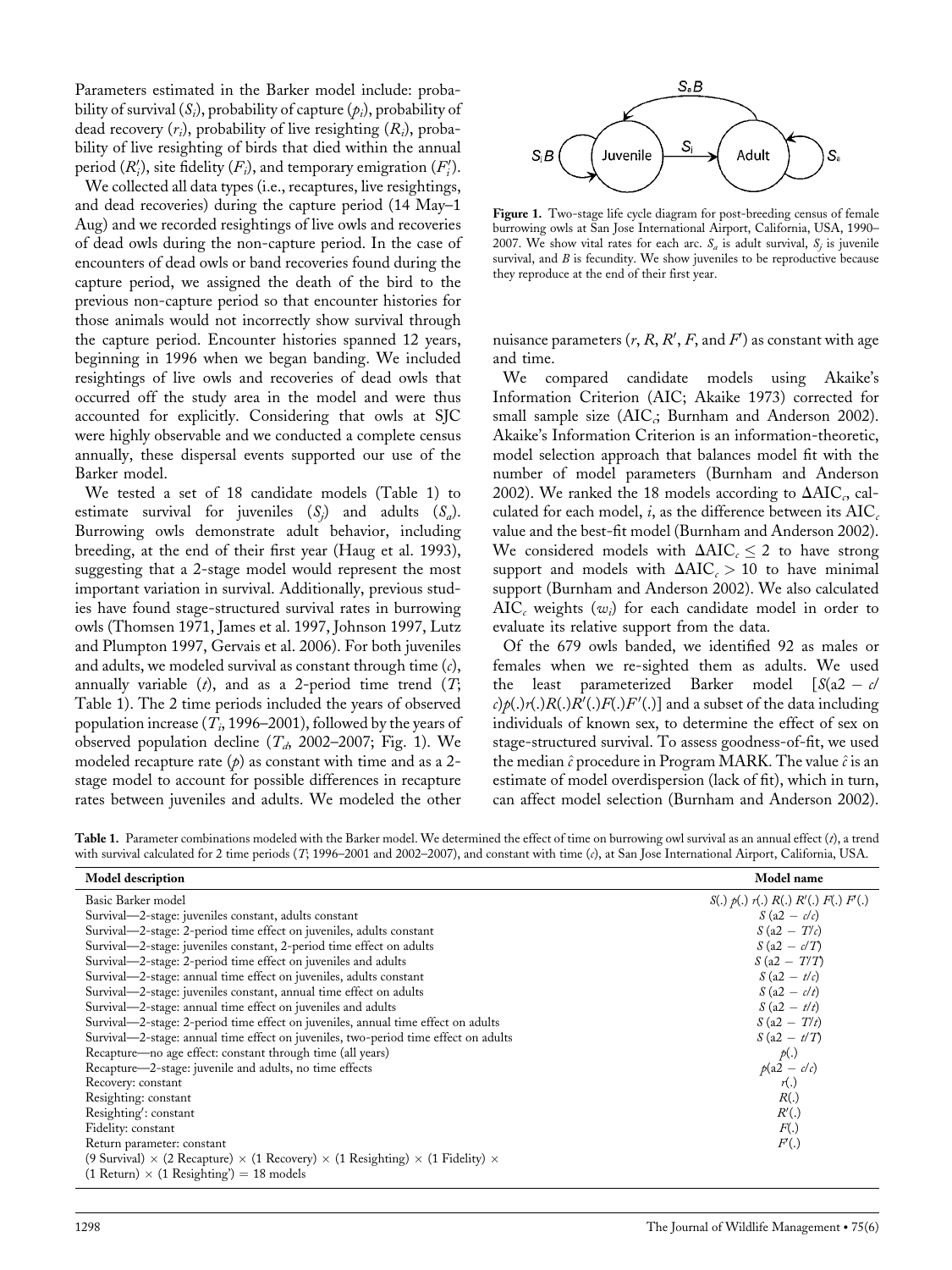Parameters estimated in the Barker model include: probability of survival  $(S_i)$ , probability of capture  $(p_i)$ , probability of dead recovery  $(r_i)$ , probability of live resighting  $(R_i)$ , probability of live resighting of birds that died within the annual period  $(R'_i)$ , site fidelity  $(F_i)$ , and temporary emigration  $(F'_i)$ .

We collected all data types (i.e., recaptures, live resightings, and dead recoveries) during the capture period (14 May–1 Aug) and we recorded resightings of live owls and recoveries of dead owls during the non-capture period. In the case of encounters of dead owls or band recoveries found during the capture period, we assigned the death of the bird to the previous non-capture period so that encounter histories for those animals would not incorrectly show survival through the capture period. Encounter histories spanned 12 years, beginning in 1996 when we began banding. We included resightings of live owls and recoveries of dead owls that occurred off the study area in the model and were thus accounted for explicitly. Considering that owls at SJC were highly observable and we conducted a complete census annually, these dispersal events supported our use of the Barker model.

We tested a set of 18 candidate models (Table 1) to estimate survival for juveniles  $(S_i)$  and adults  $(S_a)$ . Burrowing owls demonstrate adult behavior, including breeding, at the end of their first year (Haug et al. 1993), suggesting that a 2-stage model would represent the most important variation in survival. Additionally, previous studies have found stage-structured survival rates in burrowing owls (Thomsen 1971, James et al. 1997, Johnson 1997, Lutz and Plumpton 1997, Gervais et al. 2006). For both juveniles and adults, we modeled survival as constant through time  $(c)$ , annually variable  $(t)$ , and as a 2-period time trend  $(T;$ Table 1). The 2 time periods included the years of observed population increase  $(T_i, 1996-2001)$ , followed by the years of observed population decline  $(T_d, 2002-2007;$  Fig. 1). We modeled recapture rate  $(p)$  as constant with time and as a 2stage model to account for possible differences in recapture rates between juveniles and adults. We modeled the other



Figure 1. Two-stage life cycle diagram for post-breeding census of female burrowing owls at San Jose International Airport, California, USA, 1990– 2007. We show vital rates for each arc.  $S_a$  is adult survival,  $S_i$  is juvenile survival, and  $B$  is fecundity. We show juveniles to be reproductive because they reproduce at the end of their first year.

nuisance parameters  $(r, R, R', F, \text{and } F')$  as constant with age and time.

We compared candidate models using Akaike's Information Criterion (AIC; Akaike 1973) corrected for small sample size  $(AIC_c;$  Burnham and Anderson 2002). Akaike's Information Criterion is an information-theoretic, model selection approach that balances model fit with the number of model parameters (Burnham and Anderson 2002). We ranked the 18 models according to  $\Delta AIC_c$ , calculated for each model, i, as the difference between its  $AIC_c$ value and the best-fit model (Burnham and Anderson 2002). We considered models with  $\Delta AIC_c \leq 2$  to have strong support and models with  $\Delta AIC_c > 10$  to have minimal support (Burnham and Anderson 2002). We also calculated  $AIC<sub>c</sub>$  weights  $(w<sub>i</sub>)$  for each candidate model in order to evaluate its relative support from the data.

Of the 679 owls banded, we identified 92 as males or females when we re-sighted them as adults. We used the least parameterized Barker model  $[S(a2 - c/\sqrt{a}])$ c)p(.)r(.)R(.)R'(.)F(.)F'(.)] and a subset of the data including individuals of known sex, to determine the effect of sex on stage-structured survival. To assess goodness-of-fit, we used the median  $\hat{c}$  procedure in Program MARK. The value  $\hat{c}$  is an estimate of model overdispersion (lack of fit), which in turn, can affect model selection (Burnham and Anderson 2002).

Table 1. Parameter combinations modeled with the Barker model. We determined the effect of time on burrowing owl survival as an annual effect  $(t)$ , a trend with survival calculated for 2 time periods (T; 1996–2001 and 2002–2007), and constant with time (c), at San Jose International Airport, California, USA.

| Model description                                                                                                | Model name                          |
|------------------------------------------------------------------------------------------------------------------|-------------------------------------|
| Basic Barker model                                                                                               | S(.) p(.) r(.) R(.) R'(.) F(.) F(.) |
| Survival—2-stage: juveniles constant, adults constant                                                            | $S(a2 - c/c)$                       |
| Survival—2-stage: 2-period time effect on juveniles, adults constant                                             | $S(a2 - T/c)$                       |
| Survival-2-stage: juveniles constant, 2-period time effect on adults                                             | $S(a2 - c/T)$                       |
| Survival-2-stage: 2-period time effect on juveniles and adults                                                   | $S(a2 - T/T)$                       |
| Survival—2-stage: annual time effect on juveniles, adults constant                                               | $S(a2 - t/c)$                       |
| Survival—2-stage: juveniles constant, annual time effect on adults                                               | $S(a2 - c/t)$                       |
| Survival—2-stage: annual time effect on juveniles and adults                                                     | $S (a2 - t/t)$                      |
| Survival-2-stage: 2-period time effect on juveniles, annual time effect on adults                                | $S(a2 - T/t)$                       |
| Survival—2-stage: annual time effect on juveniles, two-period time effect on adults                              | $S(a2 - t/T)$                       |
| Recapture—no age effect: constant through time (all years)                                                       | p(.)                                |
| Recapture—2-stage: juvenile and adults, no time effects                                                          | $p(a2 - c/c)$                       |
| Recovery: constant                                                                                               | r(.)                                |
| Resighting: constant                                                                                             | R(.)                                |
| Resighting': constant                                                                                            | R'(.)                               |
| Fidelity: constant                                                                                               | F(.)                                |
| Return parameter: constant                                                                                       | F(.)                                |
| (9 Survival) $\times$ (2 Recapture) $\times$ (1 Recovery) $\times$ (1 Resighting) $\times$ (1 Fidelity) $\times$ |                                     |
| $(1$ Return) $\times$ $(1$ Resighting') = 18 models                                                              |                                     |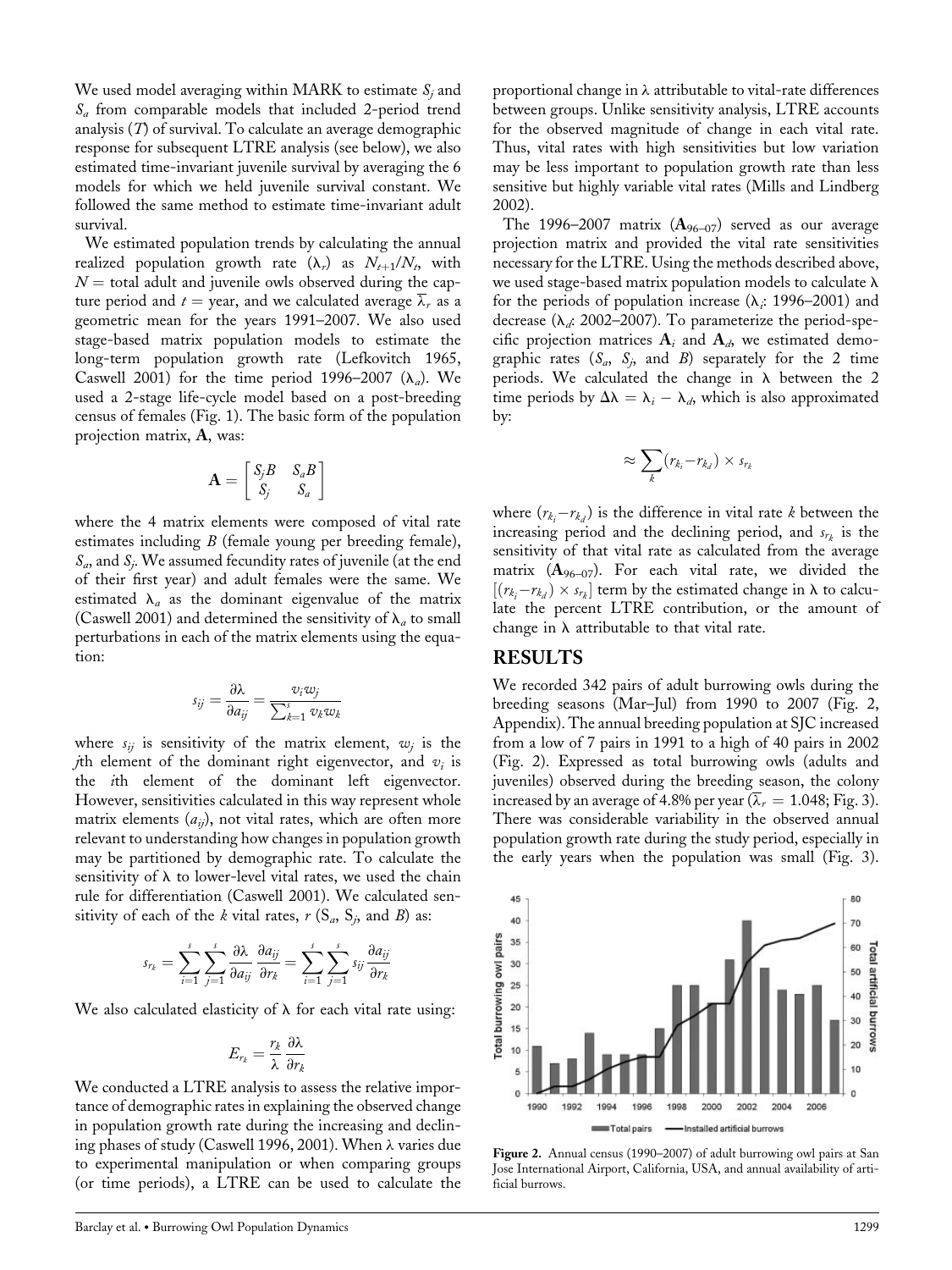We used model averaging within MARK to estimate  $S_i$  and  $S_a$  from comparable models that included 2-period trend analysis (T) of survival. To calculate an average demographic response for subsequent LTRE analysis (see below), we also estimated time-invariant juvenile survival by averaging the 6 models for which we held juvenile survival constant. We followed the same method to estimate time-invariant adult survival.

We estimated population trends by calculating the annual realized population growth rate  $(\lambda_r)$  as  $N_{t+1}/N_t$ , with  $N =$  total adult and juvenile owls observed during the capture period and  $t =$  year, and we calculated average  $\overline{\lambda}_r$  as a geometric mean for the years 1991–2007. We also used stage-based matrix population models to estimate the long-term population growth rate (Lefkovitch 1965, Caswell 2001) for the time period 1996–2007 ( $\lambda_a$ ). We used a 2-stage life-cycle model based on a post-breeding census of females (Fig. 1). The basic form of the population projection matrix, A, was:

$$
\mathbf{A} = \begin{bmatrix} S_j B & S_a B \\ S_j & S_a \end{bmatrix}
$$

where the 4 matrix elements were composed of vital rate estimates including  $B$  (female young per breeding female),  $S_a$ , and  $S_i$ . We assumed fecundity rates of juvenile (at the end of their first year) and adult females were the same. We estimated  $\lambda_a$  as the dominant eigenvalue of the matrix (Caswell 2001) and determined the sensitivity of  $\lambda_a$  to small perturbations in each of the matrix elements using the equation:

$$
s_{ij} = \frac{\partial \lambda}{\partial a_{ij}} = \frac{v_i w_j}{\sum_{k=1}^s v_k w_k}
$$

where  $s_{ii}$  is sensitivity of the matrix element,  $w_i$  is the *j*th element of the dominant right eigenvector, and  $v_i$  is the ith element of the dominant left eigenvector. However, sensitivities calculated in this way represent whole matrix elements  $(a_{ij})$ , not vital rates, which are often more relevant to understanding how changes in population growth may be partitioned by demographic rate. To calculate the sensitivity of  $\lambda$  to lower-level vital rates, we used the chain rule for differentiation (Caswell 2001). We calculated sensitivity of each of the k vital rates,  $r(S_a, S_j, \text{ and } B)$  as:

$$
s_{r_k} = \sum_{i=1}^s \sum_{j=1}^s \frac{\partial \lambda}{\partial a_{ij}} \frac{\partial a_{ij}}{\partial r_k} = \sum_{i=1}^s \sum_{j=1}^s s_{ij} \frac{\partial a_{ij}}{\partial r_k}
$$

We also calculated elasticity of  $\lambda$  for each vital rate using:

$$
E_{r_k} = \frac{r_k}{\lambda} \frac{\partial \lambda}{\partial r_k}
$$

We conducted a LTRE analysis to assess the relative importance of demographic rates in explaining the observed change in population growth rate during the increasing and declining phases of study (Caswell 1996, 2001). When  $\lambda$  varies due to experimental manipulation or when comparing groups (or time periods), a LTRE can be used to calculate the

proportional change in  $\lambda$  attributable to vital-rate differences between groups. Unlike sensitivity analysis, LTRE accounts for the observed magnitude of change in each vital rate. Thus, vital rates with high sensitivities but low variation may be less important to population growth rate than less sensitive but highly variable vital rates (Mills and Lindberg 2002).

The 1996–2007 matrix  $(A_{96-07})$  served as our average projection matrix and provided the vital rate sensitivities necessary for the LTRE. Using the methods described above, we used stage-based matrix population models to calculate  $\lambda$ for the periods of population increase ( $\lambda_i$ : 1996–2001) and decrease ( $\lambda_d$ : 2002–2007). To parameterize the period-specific projection matrices  $A_i$  and  $A_d$ , we estimated demographic rates  $(S_a, S_j, \text{ and } B)$  separately for the 2 time periods. We calculated the change in  $\lambda$  between the 2 time periods by  $\Delta \lambda = \lambda_i - \lambda_d$ , which is also approximated by:

$$
\approx \sum_k (r_{k_i} - r_{k_d}) \times s_{r_k}
$$

where  $(r_{k_i}-r_{k_d})$  is the difference in vital rate k between the increasing period and the declining period, and  $s_{r_k}$  is the sensitivity of that vital rate as calculated from the average matrix  $(A_{96-07})$ . For each vital rate, we divided the  $[(r_{k_i} - r_{k_d}) \times s_{r_k}]$  term by the estimated change in  $\lambda$  to calculate the percent LTRE contribution, or the amount of change in  $\lambda$  attributable to that vital rate.

#### RESULTS

We recorded 342 pairs of adult burrowing owls during the breeding seasons (Mar–Jul) from 1990 to 2007 (Fig. 2, Appendix). The annual breeding population at SJC increased from a low of 7 pairs in 1991 to a high of 40 pairs in 2002 (Fig. 2). Expressed as total burrowing owls (adults and juveniles) observed during the breeding season, the colony increased by an average of 4.8% per year ( $\overline{\lambda}_r = 1.048$ ; Fig. 3). There was considerable variability in the observed annual population growth rate during the study period, especially in the early years when the population was small (Fig. 3).



Figure 2. Annual census (1990–2007) of adult burrowing owl pairs at San Jose International Airport, California, USA, and annual availability of artificial burrows.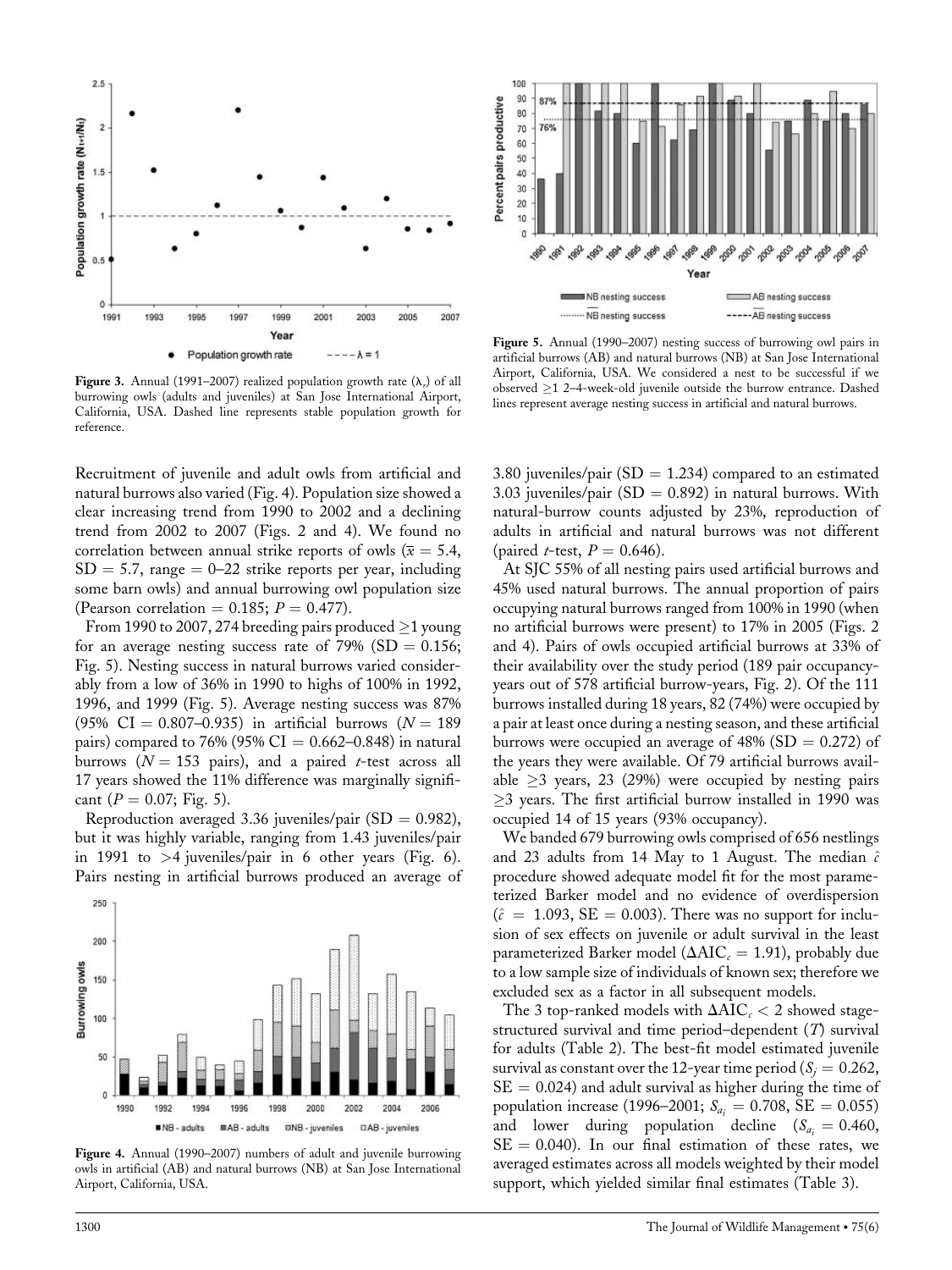



**Figure 3.** Annual (1991–2007) realized population growth rate  $(\lambda_r)$  of all burrowing owls (adults and juveniles) at San Jose International Airport, California, USA. Dashed line represents stable population growth for reference.

Recruitment of juvenile and adult owls from artificial and natural burrows also varied (Fig. 4). Population size showed a clear increasing trend from 1990 to 2002 and a declining trend from 2002 to 2007 (Figs. 2 and 4). We found no correlation between annual strike reports of owls ( $\overline{x} = 5.4$ ,  $SD = 5.7$ , range  $= 0-22$  strike reports per year, including some barn owls) and annual burrowing owl population size (Pearson correlation = 0.185;  $P = 0.477$ ).

From 1990 to 2007, 274 breeding pairs produced  $\geq$ 1 young for an average nesting success rate of 79% (SD  $= 0.156$ ; Fig. 5). Nesting success in natural burrows varied considerably from a low of 36% in 1990 to highs of 100% in 1992, 1996, and 1999 (Fig. 5). Average nesting success was 87% (95% CI = 0.807–0.935) in artificial burrows ( $N = 189$ pairs) compared to 76% (95%  $CI = 0.662 - 0.848$ ) in natural burrows ( $N = 153$  pairs), and a paired t-test across all 17 years showed the 11% difference was marginally significant ( $P = 0.07$ ; Fig. 5).

Reproduction averaged 3.36 juveniles/pair (SD =  $0.982$ ), but it was highly variable, ranging from 1.43 juveniles/pair in 1991 to  $>4$  juveniles/pair in 6 other years (Fig. 6). Pairs nesting in artificial burrows produced an average of



Figure 4. Annual (1990–2007) numbers of adult and juvenile burrowing owls in artificial (AB) and natural burrows (NB) at San Jose International Airport, California, USA.

Figure 5. Annual (1990–2007) nesting success of burrowing owl pairs in artificial burrows (AB) and natural burrows (NB) at San Jose International Airport, California, USA. We considered a nest to be successful if we observed  $\geq$ 1 2–4-week-old juvenile outside the burrow entrance. Dashed lines represent average nesting success in artificial and natural burrows.

3.80 juveniles/pair ( $SD = 1.234$ ) compared to an estimated 3.03 juveniles/pair ( $SD = 0.892$ ) in natural burrows. With natural-burrow counts adjusted by 23%, reproduction of adults in artificial and natural burrows was not different (paired *t*-test,  $P = 0.646$ ).

At SJC 55% of all nesting pairs used artificial burrows and 45% used natural burrows. The annual proportion of pairs occupying natural burrows ranged from 100% in 1990 (when no artificial burrows were present) to 17% in 2005 (Figs. 2 and 4). Pairs of owls occupied artificial burrows at 33% of their availability over the study period (189 pair occupancyyears out of 578 artificial burrow-years, Fig. 2). Of the 111 burrows installed during 18 years, 82 (74%) were occupied by a pair at least once during a nesting season, and these artificial burrows were occupied an average of 48% (SD  $= 0.272$ ) of the years they were available. Of 79 artificial burrows available  $\geq$ 3 years, 23 (29%) were occupied by nesting pairs  $\geq$ 3 years. The first artificial burrow installed in 1990 was occupied 14 of 15 years (93% occupancy).

We banded 679 burrowing owls comprised of 656 nestlings and 23 adults from 14 May to 1 August. The median  $\hat{c}$ procedure showed adequate model fit for the most parameterized Barker model and no evidence of overdispersion  $(\hat{c} = 1.093, \text{SE} = 0.003)$ . There was no support for inclusion of sex effects on juvenile or adult survival in the least parameterized Barker model ( $\Delta AIC_c = 1.91$ ), probably due to a low sample size of individuals of known sex; therefore we excluded sex as a factor in all subsequent models.

The 3 top-ranked models with  $\Delta AIC_c < 2$  showed stagestructured survival and time period–dependent (T) survival for adults (Table 2). The best-fit model estimated juvenile survival as constant over the 12-year time period ( $S_i = 0.262$ ,  $SE = 0.024$ ) and adult survival as higher during the time of population increase (1996–2001;  $S_{a_i} = 0.708$ , SE  $= 0.055$ ) and lower during population decline  $(S_{a_i} = 0.460,$  $SE = 0.040$ . In our final estimation of these rates, we averaged estimates across all models weighted by their model support, which yielded similar final estimates (Table 3).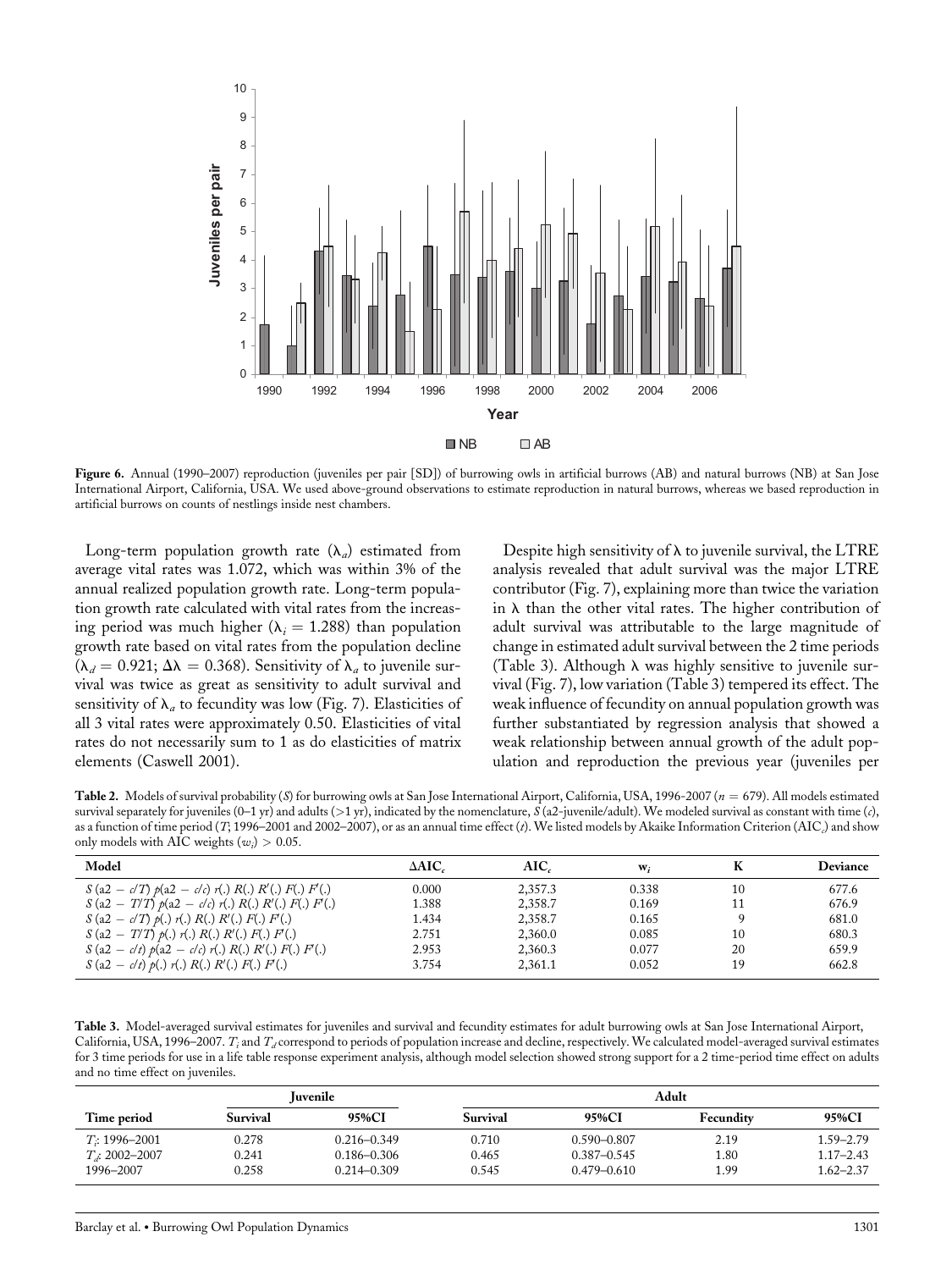

Figure 6. Annual (1990–2007) reproduction (juveniles per pair [SD]) of burrowing owls in artificial burrows (AB) and natural burrows (NB) at San Jose International Airport, California, USA. We used above-ground observations to estimate reproduction in natural burrows, whereas we based reproduction in artificial burrows on counts of nestlings inside nest chambers.

Long-term population growth rate  $(\lambda_a)$  estimated from average vital rates was 1.072, which was within 3% of the annual realized population growth rate. Long-term population growth rate calculated with vital rates from the increasing period was much higher ( $\lambda_i = 1.288$ ) than population growth rate based on vital rates from the population decline  $(\lambda_d = 0.921; \Delta \lambda = 0.368)$ . Sensitivity of  $\lambda_a$  to juvenile survival was twice as great as sensitivity to adult survival and sensitivity of  $\lambda_a$  to fecundity was low (Fig. 7). Elasticities of all 3 vital rates were approximately 0.50. Elasticities of vital rates do not necessarily sum to 1 as do elasticities of matrix elements (Caswell 2001).

Despite high sensitivity of  $\lambda$  to juvenile survival, the LTRE analysis revealed that adult survival was the major LTRE contributor (Fig. 7), explaining more than twice the variation in  $\lambda$  than the other vital rates. The higher contribution of adult survival was attributable to the large magnitude of change in estimated adult survival between the 2 time periods (Table 3). Although  $\lambda$  was highly sensitive to juvenile survival (Fig. 7), low variation (Table 3) tempered its effect. The weak influence of fecundity on annual population growth was further substantiated by regression analysis that showed a weak relationship between annual growth of the adult population and reproduction the previous year (juveniles per

Table 2. Models of survival probability (S) for burrowing owls at San Jose International Airport, California, USA, 1996-2007 ( $n = 679$ ). All models estimated survival separately for juveniles  $(0-1 \text{ yr})$  and adults  $(0-1 \text{ yr})$ , indicated by the nomenclature, S (a2-juvenile/adult). We modeled survival as constant with time  $(c)$ , as a function of time period (T; 1996–2001 and 2002–2007), or as an annual time effect (t). We listed models by Akaike Information Criterion (AIC) and show only models with AIC weights  $(w_i) > 0.05$ .

| Model                                               | $\triangle AIC.$ | $AIC_{c}$ | $W_i$ |    | Deviance |
|-----------------------------------------------------|------------------|-----------|-------|----|----------|
| $S(a2 - c/T) p(a2 - c/c) r(.) R(.) R'(.) F(.) F(.)$ | 0.000            | 2.357.3   | 0.338 | 10 | 677.6    |
| $S(a2 - T/T) p(a2 - c/c) r(.) R(.) R'(.) F(.) F(.)$ | 1.388            | 2,358.7   | 0.169 | 11 | 676.9    |
| $S(a2 - c/T) p(.) r(.) R(.) R'(.) F(.) F(.)$        | 1.434            | 2,358.7   | 0.165 | q  | 681.0    |
| $S(a2 - T/T) p(.) r(.) R(.) R'(.) F(.) F(.)$        | 2.751            | 2,360.0   | 0.085 | 10 | 680.3    |
| $S(a2 - c/t) p(a2 - c/c) r(.) R(.) R'(.) F(.) F(.)$ | 2.953            | 2,360.3   | 0.077 | 20 | 659.9    |
| $S(a2 - c/t) p(.) r(.) R(.) R'(.) F(.) F(.)$        | 3.754            | 2,361.1   | 0.052 | 19 | 662.8    |

Table 3. Model-averaged survival estimates for juveniles and survival and fecundity estimates for adult burrowing owls at San Jose International Airport, California, USA, 1996–2007.  $T_i$  and  $T_d$  correspond to periods of population increase and decline, respectively. We calculated model-averaged survival estimates for 3 time periods for use in a life table response experiment analysis, although model selection showed strong support for a 2 time-period time effect on adults and no time effect on juveniles.

| Iuvenile          |          |                 | Adult           |                 |           |               |  |
|-------------------|----------|-----------------|-----------------|-----------------|-----------|---------------|--|
| Time period       | Survival | 95%CI           | <b>Survival</b> | 95%CI           | Fecundity | 95%CI         |  |
| $T: 1996 - 2001$  | 0.278    | $0.216 - 0.349$ | 0.710           | $0.590 - 0.807$ | 2.19      | $1.59 - 2.79$ |  |
| $T_A$ : 2002–2007 | 0.241    | $0.186 - 0.306$ | 0.465           | $0.387 - 0.545$ | 1.80      | $1.17 - 2.43$ |  |
| 1996–2007         | 0.258    | $0.214 - 0.309$ | 0.545           | $0.479 - 0.610$ | 1.99      | $1.62 - 2.37$ |  |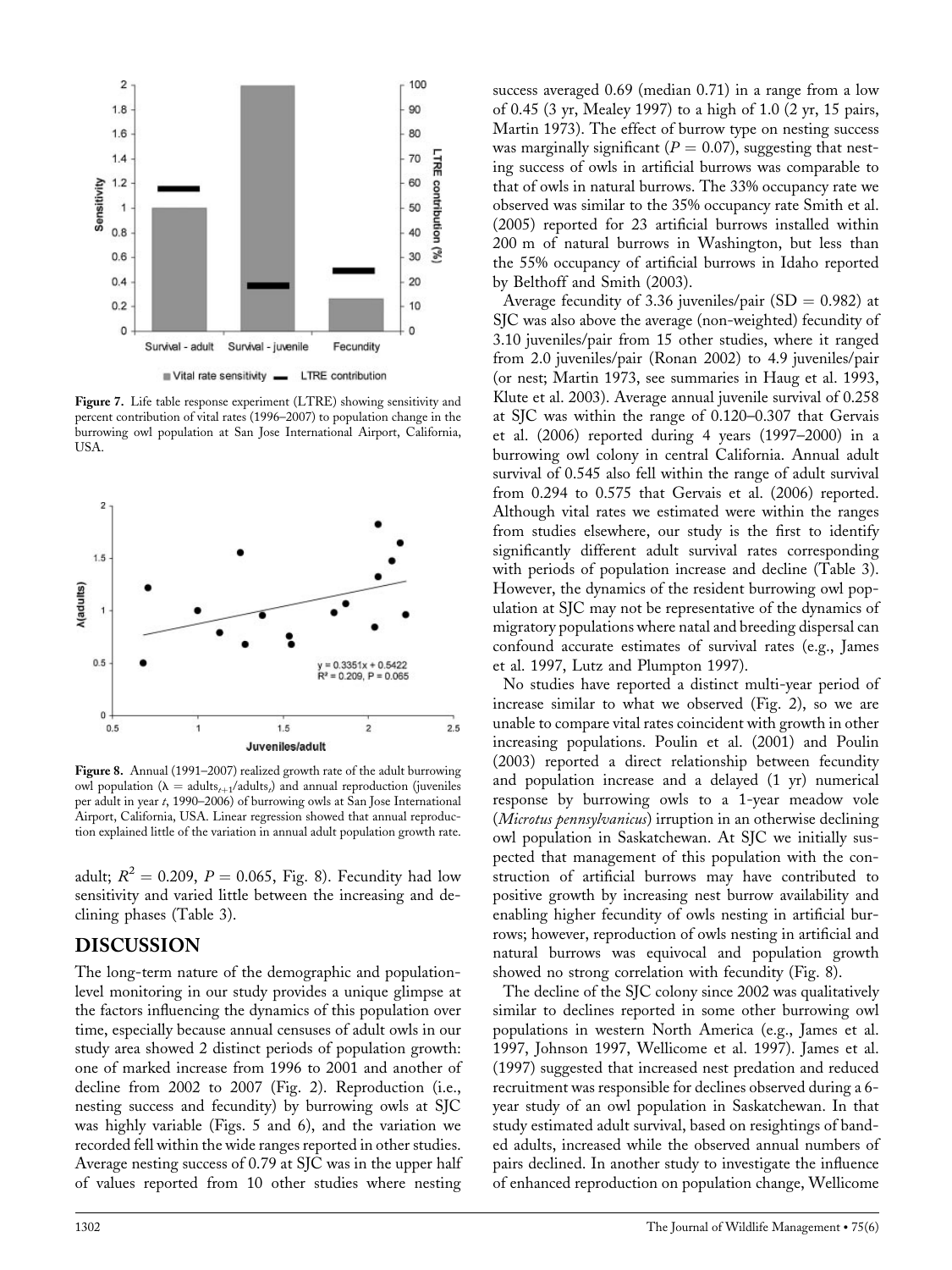

Figure 7. Life table response experiment (LTRE) showing sensitivity and percent contribution of vital rates (1996–2007) to population change in the burrowing owl population at San Jose International Airport, California, USA.



Figure 8. Annual (1991–2007) realized growth rate of the adult burrowing owl population ( $\lambda =$  adults<sub>t+1</sub>/adults<sub>t</sub>) and annual reproduction (juveniles per adult in year t, 1990-2006) of burrowing owls at San Jose International Airport, California, USA. Linear regression showed that annual reproduction explained little of the variation in annual adult population growth rate.

adult;  $R^2 = 0.209$ ,  $P = 0.065$ , Fig. 8). Fecundity had low sensitivity and varied little between the increasing and declining phases (Table 3).

#### DISCUSSION

The long-term nature of the demographic and populationlevel monitoring in our study provides a unique glimpse at the factors influencing the dynamics of this population over time, especially because annual censuses of adult owls in our study area showed 2 distinct periods of population growth: one of marked increase from 1996 to 2001 and another of decline from 2002 to 2007 (Fig. 2). Reproduction (i.e., nesting success and fecundity) by burrowing owls at SJC was highly variable (Figs. 5 and 6), and the variation we recorded fell within the wide ranges reported in other studies. Average nesting success of 0.79 at SJC was in the upper half of values reported from 10 other studies where nesting

success averaged 0.69 (median 0.71) in a range from a low of 0.45 (3 yr, Mealey 1997) to a high of 1.0 (2 yr, 15 pairs, Martin 1973). The effect of burrow type on nesting success was marginally significant ( $P = 0.07$ ), suggesting that nesting success of owls in artificial burrows was comparable to that of owls in natural burrows. The 33% occupancy rate we observed was similar to the 35% occupancy rate Smith et al. (2005) reported for 23 artificial burrows installed within 200 m of natural burrows in Washington, but less than the 55% occupancy of artificial burrows in Idaho reported by Belthoff and Smith (2003).

Average fecundity of 3.36 juveniles/pair  $(SD = 0.982)$  at SJC was also above the average (non-weighted) fecundity of 3.10 juveniles/pair from 15 other studies, where it ranged from 2.0 juveniles/pair (Ronan 2002) to 4.9 juveniles/pair (or nest; Martin 1973, see summaries in Haug et al. 1993, Klute et al. 2003). Average annual juvenile survival of 0.258 at SJC was within the range of 0.120–0.307 that Gervais et al. (2006) reported during 4 years (1997–2000) in a burrowing owl colony in central California. Annual adult survival of 0.545 also fell within the range of adult survival from 0.294 to 0.575 that Gervais et al. (2006) reported. Although vital rates we estimated were within the ranges from studies elsewhere, our study is the first to identify significantly different adult survival rates corresponding with periods of population increase and decline (Table 3). However, the dynamics of the resident burrowing owl population at SJC may not be representative of the dynamics of migratory populations where natal and breeding dispersal can confound accurate estimates of survival rates (e.g., James et al. 1997, Lutz and Plumpton 1997).

No studies have reported a distinct multi-year period of increase similar to what we observed (Fig. 2), so we are unable to compare vital rates coincident with growth in other increasing populations. Poulin et al. (2001) and Poulin (2003) reported a direct relationship between fecundity and population increase and a delayed (1 yr) numerical response by burrowing owls to a 1-year meadow vole (*Microtus pennsylvanicus*) irruption in an otherwise declining owl population in Saskatchewan. At SJC we initially suspected that management of this population with the construction of artificial burrows may have contributed to positive growth by increasing nest burrow availability and enabling higher fecundity of owls nesting in artificial burrows; however, reproduction of owls nesting in artificial and natural burrows was equivocal and population growth showed no strong correlation with fecundity (Fig. 8).

The decline of the SJC colony since 2002 was qualitatively similar to declines reported in some other burrowing owl populations in western North America (e.g., James et al. 1997, Johnson 1997, Wellicome et al. 1997). James et al. (1997) suggested that increased nest predation and reduced recruitment was responsible for declines observed during a 6 year study of an owl population in Saskatchewan. In that study estimated adult survival, based on resightings of banded adults, increased while the observed annual numbers of pairs declined. In another study to investigate the influence of enhanced reproduction on population change, Wellicome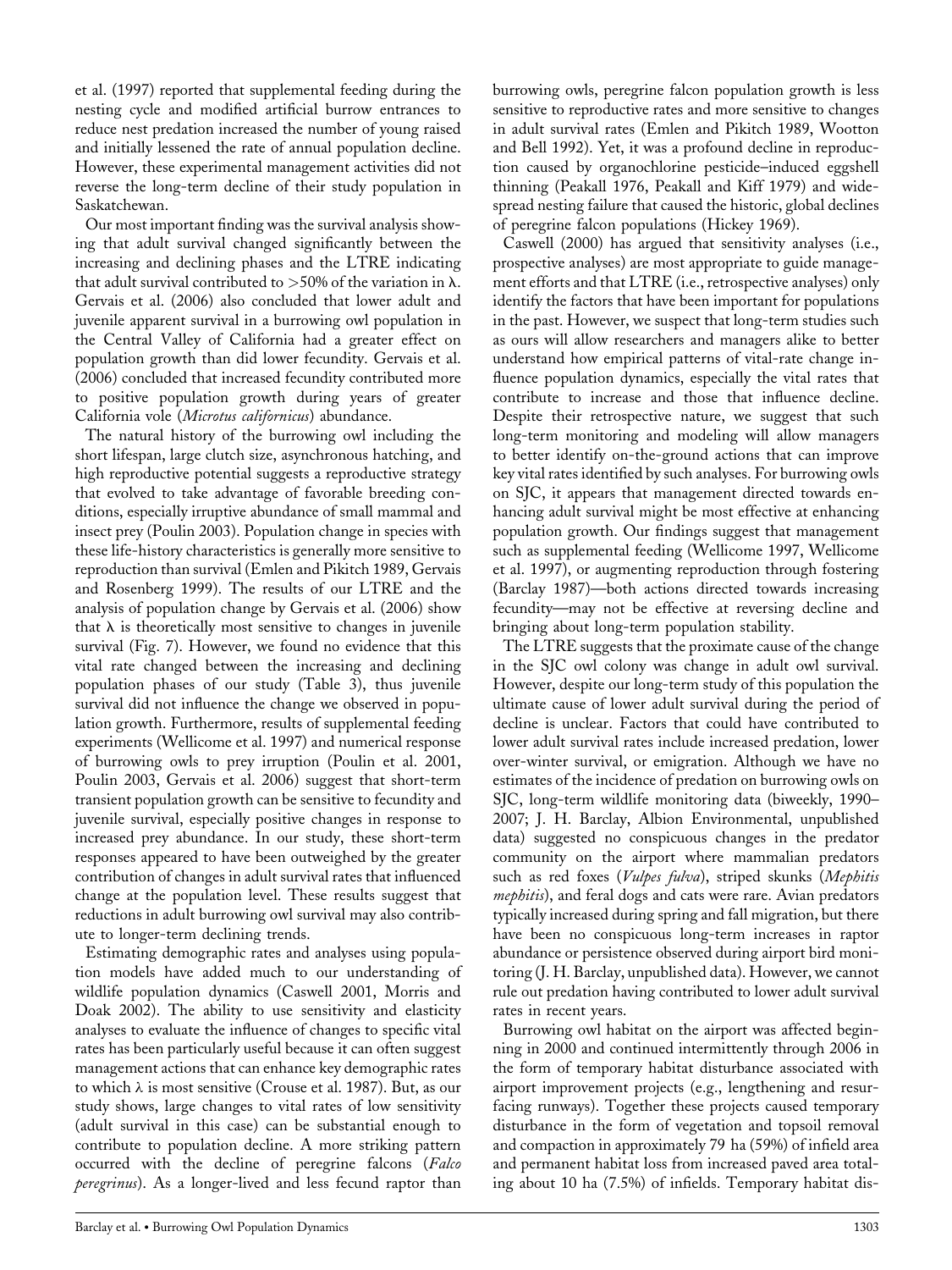et al. (1997) reported that supplemental feeding during the nesting cycle and modified artificial burrow entrances to reduce nest predation increased the number of young raised and initially lessened the rate of annual population decline. However, these experimental management activities did not reverse the long-term decline of their study population in Saskatchewan.

Our most important finding was the survival analysis showing that adult survival changed significantly between the increasing and declining phases and the LTRE indicating that adult survival contributed to  $>50\%$  of the variation in  $\lambda$ . Gervais et al. (2006) also concluded that lower adult and juvenile apparent survival in a burrowing owl population in the Central Valley of California had a greater effect on population growth than did lower fecundity. Gervais et al. (2006) concluded that increased fecundity contributed more to positive population growth during years of greater California vole (Microtus californicus) abundance.

The natural history of the burrowing owl including the short lifespan, large clutch size, asynchronous hatching, and high reproductive potential suggests a reproductive strategy that evolved to take advantage of favorable breeding conditions, especially irruptive abundance of small mammal and insect prey (Poulin 2003). Population change in species with these life-history characteristics is generally more sensitive to reproduction than survival (Emlen and Pikitch 1989, Gervais and Rosenberg 1999). The results of our LTRE and the analysis of population change by Gervais et al. (2006) show that  $\lambda$  is theoretically most sensitive to changes in juvenile survival (Fig. 7). However, we found no evidence that this vital rate changed between the increasing and declining population phases of our study (Table 3), thus juvenile survival did not influence the change we observed in population growth. Furthermore, results of supplemental feeding experiments (Wellicome et al. 1997) and numerical response of burrowing owls to prey irruption (Poulin et al. 2001, Poulin 2003, Gervais et al. 2006) suggest that short-term transient population growth can be sensitive to fecundity and juvenile survival, especially positive changes in response to increased prey abundance. In our study, these short-term responses appeared to have been outweighed by the greater contribution of changes in adult survival rates that influenced change at the population level. These results suggest that reductions in adult burrowing owl survival may also contribute to longer-term declining trends.

Estimating demographic rates and analyses using population models have added much to our understanding of wildlife population dynamics (Caswell 2001, Morris and Doak 2002). The ability to use sensitivity and elasticity analyses to evaluate the influence of changes to specific vital rates has been particularly useful because it can often suggest management actions that can enhance key demographic rates to which  $\lambda$  is most sensitive (Crouse et al. 1987). But, as our study shows, large changes to vital rates of low sensitivity (adult survival in this case) can be substantial enough to contribute to population decline. A more striking pattern occurred with the decline of peregrine falcons (Falco peregrinus). As a longer-lived and less fecund raptor than

burrowing owls, peregrine falcon population growth is less sensitive to reproductive rates and more sensitive to changes in adult survival rates (Emlen and Pikitch 1989, Wootton and Bell 1992). Yet, it was a profound decline in reproduction caused by organochlorine pesticide–induced eggshell thinning (Peakall 1976, Peakall and Kiff 1979) and widespread nesting failure that caused the historic, global declines of peregrine falcon populations (Hickey 1969).

Caswell (2000) has argued that sensitivity analyses (i.e., prospective analyses) are most appropriate to guide management efforts and that LTRE (i.e., retrospective analyses) only identify the factors that have been important for populations in the past. However, we suspect that long-term studies such as ours will allow researchers and managers alike to better understand how empirical patterns of vital-rate change influence population dynamics, especially the vital rates that contribute to increase and those that influence decline. Despite their retrospective nature, we suggest that such long-term monitoring and modeling will allow managers to better identify on-the-ground actions that can improve key vital rates identified by such analyses. For burrowing owls on SJC, it appears that management directed towards enhancing adult survival might be most effective at enhancing population growth. Our findings suggest that management such as supplemental feeding (Wellicome 1997, Wellicome et al. 1997), or augmenting reproduction through fostering (Barclay 1987)—both actions directed towards increasing fecundity—may not be effective at reversing decline and bringing about long-term population stability.

The LTRE suggests that the proximate cause of the change in the SJC owl colony was change in adult owl survival. However, despite our long-term study of this population the ultimate cause of lower adult survival during the period of decline is unclear. Factors that could have contributed to lower adult survival rates include increased predation, lower over-winter survival, or emigration. Although we have no estimates of the incidence of predation on burrowing owls on SJC, long-term wildlife monitoring data (biweekly, 1990– 2007; J. H. Barclay, Albion Environmental, unpublished data) suggested no conspicuous changes in the predator community on the airport where mammalian predators such as red foxes (Vulpes fulva), striped skunks (Mephitis *mephitis*), and feral dogs and cats were rare. Avian predators typically increased during spring and fall migration, but there have been no conspicuous long-term increases in raptor abundance or persistence observed during airport bird monitoring (J. H. Barclay, unpublished data). However, we cannot rule out predation having contributed to lower adult survival rates in recent years.

Burrowing owl habitat on the airport was affected beginning in 2000 and continued intermittently through 2006 in the form of temporary habitat disturbance associated with airport improvement projects (e.g., lengthening and resurfacing runways). Together these projects caused temporary disturbance in the form of vegetation and topsoil removal and compaction in approximately 79 ha (59%) of infield area and permanent habitat loss from increased paved area totaling about 10 ha (7.5%) of infields. Temporary habitat dis-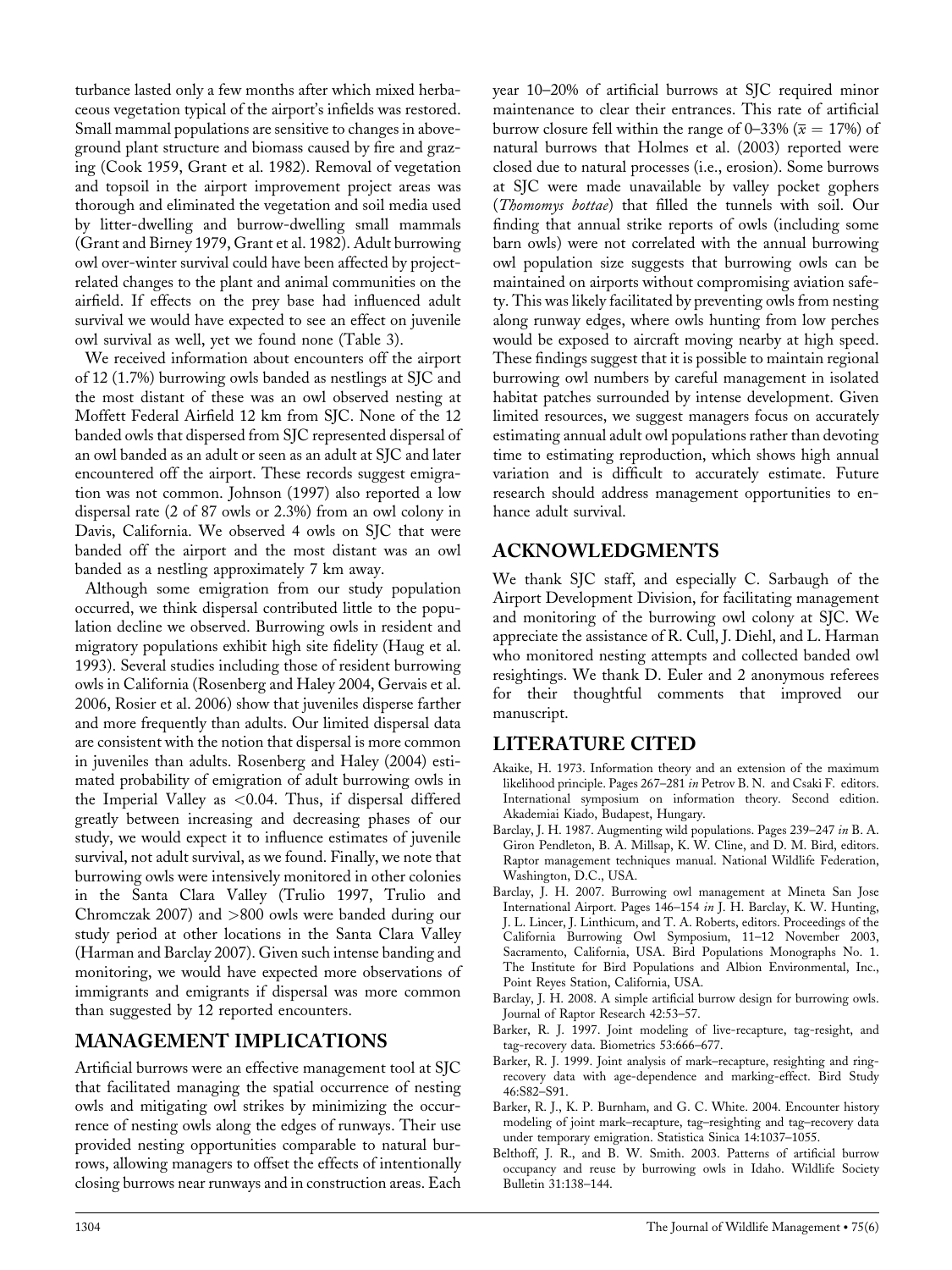turbance lasted only a few months after which mixed herbaceous vegetation typical of the airport's infields was restored. Small mammal populations are sensitive to changes in aboveground plant structure and biomass caused by fire and grazing (Cook 1959, Grant et al. 1982). Removal of vegetation and topsoil in the airport improvement project areas was thorough and eliminated the vegetation and soil media used by litter-dwelling and burrow-dwelling small mammals (Grant and Birney 1979, Grant et al. 1982). Adult burrowing owl over-winter survival could have been affected by projectrelated changes to the plant and animal communities on the airfield. If effects on the prey base had influenced adult survival we would have expected to see an effect on juvenile owl survival as well, yet we found none (Table 3).

We received information about encounters off the airport of 12 (1.7%) burrowing owls banded as nestlings at SJC and the most distant of these was an owl observed nesting at Moffett Federal Airfield 12 km from SJC. None of the 12 banded owls that dispersed from SJC represented dispersal of an owl banded as an adult or seen as an adult at SJC and later encountered off the airport. These records suggest emigration was not common. Johnson (1997) also reported a low dispersal rate (2 of 87 owls or 2.3%) from an owl colony in Davis, California. We observed 4 owls on SJC that were banded off the airport and the most distant was an owl banded as a nestling approximately 7 km away.

Although some emigration from our study population occurred, we think dispersal contributed little to the population decline we observed. Burrowing owls in resident and migratory populations exhibit high site fidelity (Haug et al. 1993). Several studies including those of resident burrowing owls in California (Rosenberg and Haley 2004, Gervais et al. 2006, Rosier et al. 2006) show that juveniles disperse farther and more frequently than adults. Our limited dispersal data are consistent with the notion that dispersal is more common in juveniles than adults. Rosenberg and Haley (2004) estimated probability of emigration of adult burrowing owls in the Imperial Valley as <0.04. Thus, if dispersal differed greatly between increasing and decreasing phases of our study, we would expect it to influence estimates of juvenile survival, not adult survival, as we found. Finally, we note that burrowing owls were intensively monitored in other colonies in the Santa Clara Valley (Trulio 1997, Trulio and Chromczak 2007) and >800 owls were banded during our study period at other locations in the Santa Clara Valley (Harman and Barclay 2007). Given such intense banding and monitoring, we would have expected more observations of immigrants and emigrants if dispersal was more common than suggested by 12 reported encounters.

## MANAGEMENT IMPLICATIONS

Artificial burrows were an effective management tool at SJC that facilitated managing the spatial occurrence of nesting owls and mitigating owl strikes by minimizing the occurrence of nesting owls along the edges of runways. Their use provided nesting opportunities comparable to natural burrows, allowing managers to offset the effects of intentionally closing burrows near runways and in construction areas. Each year 10–20% of artificial burrows at SJC required minor maintenance to clear their entrances. This rate of artificial burrow closure fell within the range of 0–33% ( $\bar{x}$  = 17%) of natural burrows that Holmes et al. (2003) reported were closed due to natural processes (i.e., erosion). Some burrows at SJC were made unavailable by valley pocket gophers (Thomomys bottae) that filled the tunnels with soil. Our finding that annual strike reports of owls (including some barn owls) were not correlated with the annual burrowing owl population size suggests that burrowing owls can be maintained on airports without compromising aviation safety. This was likely facilitated by preventing owls from nesting along runway edges, where owls hunting from low perches would be exposed to aircraft moving nearby at high speed. These findings suggest that it is possible to maintain regional burrowing owl numbers by careful management in isolated habitat patches surrounded by intense development. Given limited resources, we suggest managers focus on accurately estimating annual adult owl populations rather than devoting time to estimating reproduction, which shows high annual variation and is difficult to accurately estimate. Future research should address management opportunities to enhance adult survival.

## ACKNOWLEDGMENTS

We thank SJC staff, and especially C. Sarbaugh of the Airport Development Division, for facilitating management and monitoring of the burrowing owl colony at SJC. We appreciate the assistance of R. Cull, J. Diehl, and L. Harman who monitored nesting attempts and collected banded owl resightings. We thank D. Euler and 2 anonymous referees for their thoughtful comments that improved our manuscript.

# LITERATURE CITED

- Akaike, H. 1973. Information theory and an extension of the maximum likelihood principle. Pages 267–281 in Petrov B. N. and Csaki F. editors. International symposium on information theory. Second edition. Akademiai Kiado, Budapest, Hungary.
- Barclay, J. H. 1987. Augmenting wild populations. Pages 239–247 in B. A. Giron Pendleton, B. A. Millsap, K. W. Cline, and D. M. Bird, editors. Raptor management techniques manual. National Wildlife Federation, Washington, D.C., USA.
- Barclay, J. H. 2007. Burrowing owl management at Mineta San Jose International Airport. Pages 146–154 in J. H. Barclay, K. W. Hunting, J. L. Lincer, J. Linthicum, and T. A. Roberts, editors. Proceedings of the California Burrowing Owl Symposium, 11–12 November 2003, Sacramento, California, USA. Bird Populations Monographs No. 1. The Institute for Bird Populations and Albion Environmental, Inc., Point Reyes Station, California, USA.
- Barclay, J. H. 2008. A simple artificial burrow design for burrowing owls. Journal of Raptor Research 42:53–57.
- Barker, R. J. 1997. Joint modeling of live-recapture, tag-resight, and tag-recovery data. Biometrics 53:666–677.
- Barker, R. J. 1999. Joint analysis of mark–recapture, resighting and ringrecovery data with age-dependence and marking-effect. Bird Study 46:S82–S91.
- Barker, R. J., K. P. Burnham, and G. C. White. 2004. Encounter history modeling of joint mark–recapture, tag–resighting and tag–recovery data under temporary emigration. Statistica Sinica 14:1037–1055.
- Belthoff, J. R., and B. W. Smith. 2003. Patterns of artificial burrow occupancy and reuse by burrowing owls in Idaho. Wildlife Society Bulletin 31:138–144.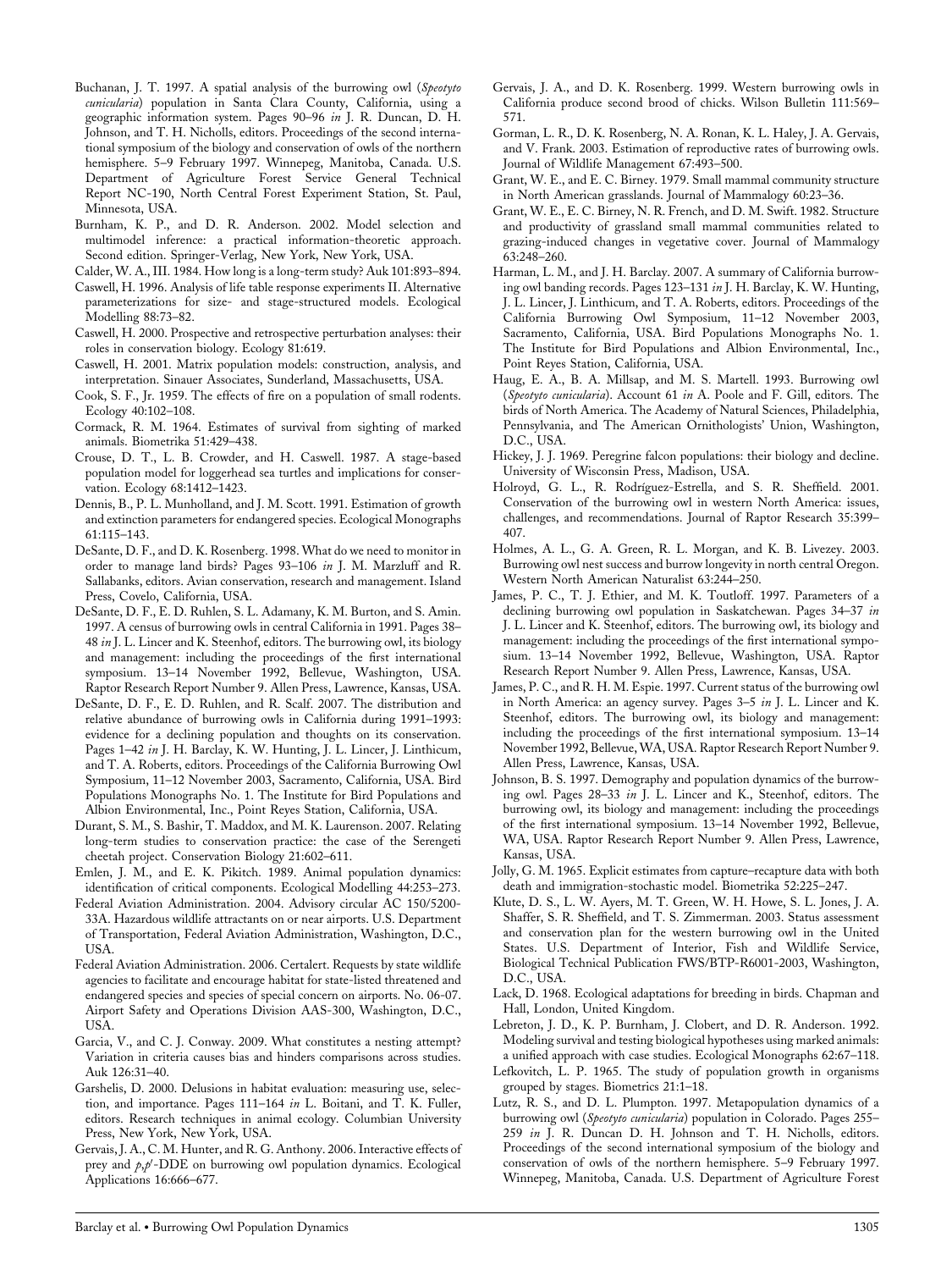- Buchanan, J. T. 1997. A spatial analysis of the burrowing owl (Speotyto cunicularia) population in Santa Clara County, California, using a geographic information system. Pages 90–96 in J. R. Duncan, D. H. Johnson, and T. H. Nicholls, editors. Proceedings of the second international symposium of the biology and conservation of owls of the northern hemisphere. 5–9 February 1997. Winnepeg, Manitoba, Canada. U.S. Department of Agriculture Forest Service General Technical Report NC-190, North Central Forest Experiment Station, St. Paul, Minnesota, USA.
- Burnham, K. P., and D. R. Anderson. 2002. Model selection and multimodel inference: a practical information-theoretic approach. Second edition. Springer-Verlag, New York, New York, USA.
- Calder, W. A., III. 1984. How long is a long-term study? Auk 101:893–894.
- Caswell, H. 1996. Analysis of life table response experiments II. Alternative parameterizations for size- and stage-structured models. Ecological Modelling 88:73–82.
- Caswell, H. 2000. Prospective and retrospective perturbation analyses: their roles in conservation biology. Ecology 81:619.
- Caswell, H. 2001. Matrix population models: construction, analysis, and interpretation. Sinauer Associates, Sunderland, Massachusetts, USA.
- Cook, S. F., Jr. 1959. The effects of fire on a population of small rodents. Ecology 40:102–108.
- Cormack, R. M. 1964. Estimates of survival from sighting of marked animals. Biometrika 51:429–438.
- Crouse, D. T., L. B. Crowder, and H. Caswell. 1987. A stage-based population model for loggerhead sea turtles and implications for conservation. Ecology 68:1412–1423.
- Dennis, B., P. L. Munholland, and J. M. Scott. 1991. Estimation of growth and extinction parameters for endangered species. Ecological Monographs 61:115–143.
- DeSante, D. F., and D. K. Rosenberg. 1998. What do we need to monitor in order to manage land birds? Pages 93–106 in J. M. Marzluff and R. Sallabanks, editors. Avian conservation, research and management. Island Press, Covelo, California, USA.
- DeSante, D. F., E. D. Ruhlen, S. L. Adamany, K. M. Burton, and S. Amin. 1997. A census of burrowing owls in central California in 1991. Pages 38– 48 in J. L. Lincer and K. Steenhof, editors. The burrowing owl, its biology and management: including the proceedings of the first international symposium. 13–14 November 1992, Bellevue, Washington, USA. Raptor Research Report Number 9. Allen Press, Lawrence, Kansas, USA.
- DeSante, D. F., E. D. Ruhlen, and R. Scalf. 2007. The distribution and relative abundance of burrowing owls in California during 1991–1993: evidence for a declining population and thoughts on its conservation. Pages 1–42 in J. H. Barclay, K. W. Hunting, J. L. Lincer, J. Linthicum, and T. A. Roberts, editors. Proceedings of the California Burrowing Owl Symposium, 11–12 November 2003, Sacramento, California, USA. Bird Populations Monographs No. 1. The Institute for Bird Populations and Albion Environmental, Inc., Point Reyes Station, California, USA.
- Durant, S. M., S. Bashir, T. Maddox, and M. K. Laurenson. 2007. Relating long-term studies to conservation practice: the case of the Serengeti cheetah project. Conservation Biology 21:602–611.
- Emlen, J. M., and E. K. Pikitch. 1989. Animal population dynamics: identification of critical components. Ecological Modelling 44:253–273.
- Federal Aviation Administration. 2004. Advisory circular AC 150/5200- 33A. Hazardous wildlife attractants on or near airports. U.S. Department of Transportation, Federal Aviation Administration, Washington, D.C., USA.
- Federal Aviation Administration. 2006. Certalert. Requests by state wildlife agencies to facilitate and encourage habitat for state-listed threatened and endangered species and species of special concern on airports. No. 06-07. Airport Safety and Operations Division AAS-300, Washington, D.C., USA.
- Garcia, V., and C. J. Conway. 2009. What constitutes a nesting attempt? Variation in criteria causes bias and hinders comparisons across studies. Auk 126:31–40.
- Garshelis, D. 2000. Delusions in habitat evaluation: measuring use, selection, and importance. Pages 111–164 in L. Boitani, and T. K. Fuller, editors. Research techniques in animal ecology. Columbian University Press, New York, New York, USA.
- Gervais, J. A., C. M. Hunter, and R. G. Anthony. 2006. Interactive effects of prey and  $p, p'$ -DDE on burrowing owl population dynamics. Ecological Applications 16:666-677.
- Gervais, J. A., and D. K. Rosenberg. 1999. Western burrowing owls in California produce second brood of chicks. Wilson Bulletin 111:569– 571.
- Gorman, L. R., D. K. Rosenberg, N. A. Ronan, K. L. Haley, J. A. Gervais, and V. Frank. 2003. Estimation of reproductive rates of burrowing owls. Journal of Wildlife Management 67:493–500.
- Grant, W. E., and E. C. Birney. 1979. Small mammal community structure in North American grasslands. Journal of Mammalogy 60:23–36.
- Grant, W. E., E. C. Birney, N. R. French, and D. M. Swift. 1982. Structure and productivity of grassland small mammal communities related to grazing-induced changes in vegetative cover. Journal of Mammalogy 63:248–260.
- Harman, L. M., and J. H. Barclay. 2007. A summary of California burrowing owl banding records. Pages 123–131 in J. H. Barclay, K. W. Hunting, J. L. Lincer, J. Linthicum, and T. A. Roberts, editors. Proceedings of the California Burrowing Owl Symposium, 11–12 November 2003, Sacramento, California, USA. Bird Populations Monographs No. 1. The Institute for Bird Populations and Albion Environmental, Inc., Point Reyes Station, California, USA.
- Haug, E. A., B. A. Millsap, and M. S. Martell. 1993. Burrowing owl (Speotyto cunicularia). Account 61 in A. Poole and F. Gill, editors. The birds of North America. The Academy of Natural Sciences, Philadelphia, Pennsylvania, and The American Ornithologists' Union, Washington, D.C., USA.
- Hickey, J. J. 1969. Peregrine falcon populations: their biology and decline. University of Wisconsin Press, Madison, USA.
- Holroyd, G. L., R. Rodríguez-Estrella, and S. R. Sheffield. 2001. Conservation of the burrowing owl in western North America: issues, challenges, and recommendations. Journal of Raptor Research 35:399– 407.
- Holmes, A. L., G. A. Green, R. L. Morgan, and K. B. Livezey. 2003. Burrowing owl nest success and burrow longevity in north central Oregon. Western North American Naturalist 63:244–250.
- James, P. C., T. J. Ethier, and M. K. Toutloff. 1997. Parameters of a declining burrowing owl population in Saskatchewan. Pages 34–37 in J. L. Lincer and K. Steenhof, editors. The burrowing owl, its biology and management: including the proceedings of the first international symposium. 13–14 November 1992, Bellevue, Washington, USA. Raptor Research Report Number 9. Allen Press, Lawrence, Kansas, USA.
- James, P. C., and R. H. M. Espie. 1997. Current status of the burrowing owl in North America: an agency survey. Pages 3–5 in J. L. Lincer and K. Steenhof, editors. The burrowing owl, its biology and management: including the proceedings of the first international symposium. 13–14 November 1992, Bellevue, WA, USA. Raptor Research Report Number 9. Allen Press, Lawrence, Kansas, USA.
- Johnson, B. S. 1997. Demography and population dynamics of the burrowing owl. Pages 28–33 in J. L. Lincer and K., Steenhof, editors. The burrowing owl, its biology and management: including the proceedings of the first international symposium. 13–14 November 1992, Bellevue, WA, USA. Raptor Research Report Number 9. Allen Press, Lawrence, Kansas, USA.
- Jolly, G. M. 1965. Explicit estimates from capture–recapture data with both death and immigration-stochastic model. Biometrika 52:225–247.
- Klute, D. S., L. W. Ayers, M. T. Green, W. H. Howe, S. L. Jones, J. A. Shaffer, S. R. Sheffield, and T. S. Zimmerman. 2003. Status assessment and conservation plan for the western burrowing owl in the United States. U.S. Department of Interior, Fish and Wildlife Service, Biological Technical Publication FWS/BTP-R6001-2003, Washington, D.C., USA.
- Lack, D. 1968. Ecological adaptations for breeding in birds. Chapman and Hall, London, United Kingdom.
- Lebreton, J. D., K. P. Burnham, J. Clobert, and D. R. Anderson. 1992. Modeling survival and testing biological hypotheses using marked animals: a unified approach with case studies. Ecological Monographs 62:67–118.
- Lefkovitch, L. P. 1965. The study of population growth in organisms grouped by stages. Biometrics 21:1–18.
- Lutz, R. S., and D. L. Plumpton. 1997. Metapopulation dynamics of a burrowing owl (Speotyto cunicularia) population in Colorado. Pages 255– 259 in J. R. Duncan D. H. Johnson and T. H. Nicholls, editors. Proceedings of the second international symposium of the biology and conservation of owls of the northern hemisphere. 5–9 February 1997. Winnepeg, Manitoba, Canada. U.S. Department of Agriculture Forest